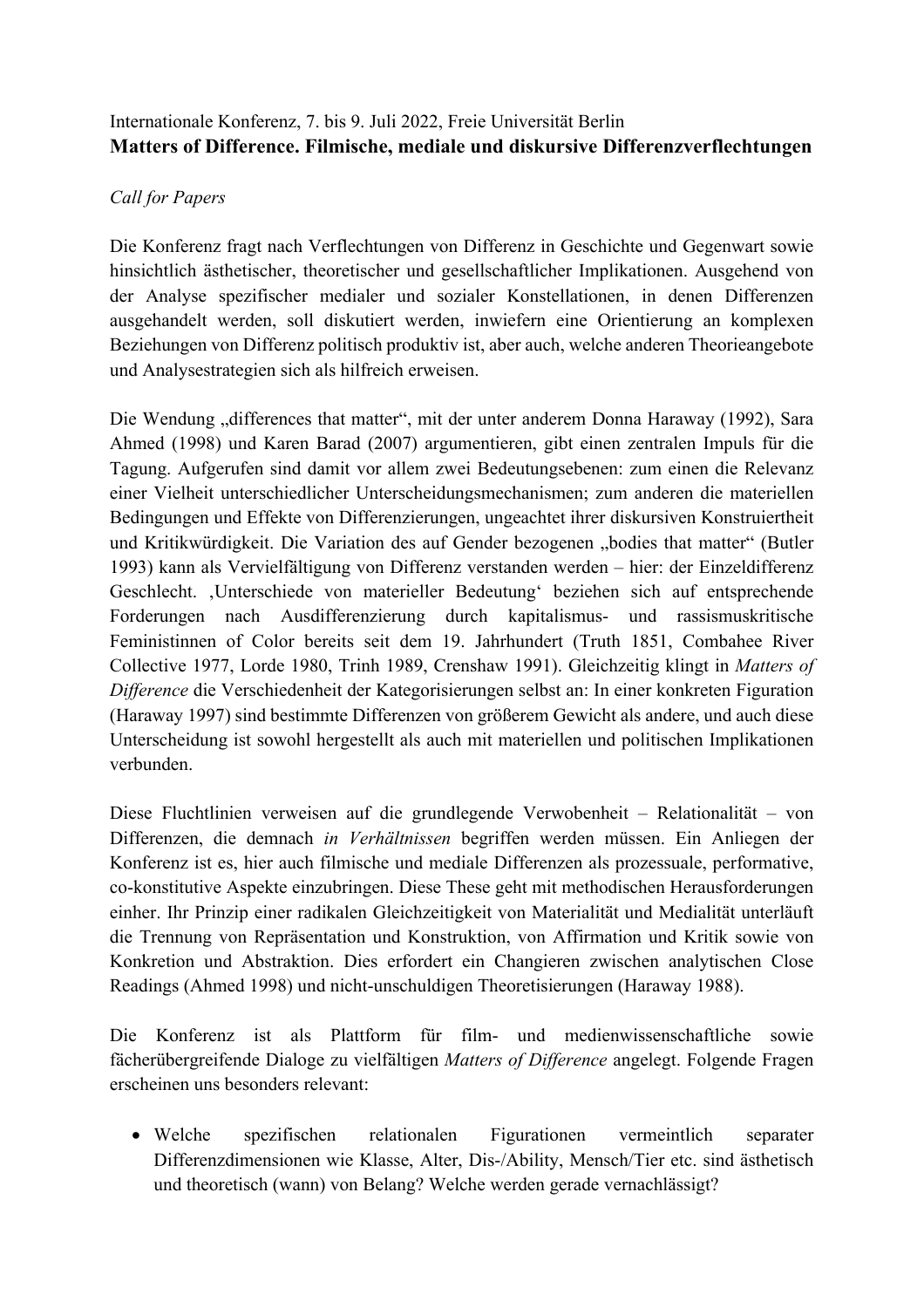# Internationale Konferenz, 7. bis 9. Juli 2022, Freie Universität Berlin **Matters of Difference. Filmische, mediale und diskursive Differenzverflechtungen**

#### *Call for Papers*

Die Konferenz fragt nach Verflechtungen von Differenz in Geschichte und Gegenwart sowie hinsichtlich ästhetischer, theoretischer und gesellschaftlicher Implikationen. Ausgehend von der Analyse spezifischer medialer und sozialer Konstellationen, in denen Differenzen ausgehandelt werden, soll diskutiert werden, inwiefern eine Orientierung an komplexen Beziehungen von Differenz politisch produktiv ist, aber auch, welche anderen Theorieangebote und Analysestrategien sich als hilfreich erweisen.

Die Wendung "differences that matter", mit der unter anderem Donna Haraway (1992), Sara Ahmed (1998) und Karen Barad (2007) argumentieren, gibt einen zentralen Impuls für die Tagung. Aufgerufen sind damit vor allem zwei Bedeutungsebenen: zum einen die Relevanz einer Vielheit unterschiedlicher Unterscheidungsmechanismen; zum anderen die materiellen Bedingungen und Effekte von Differenzierungen, ungeachtet ihrer diskursiven Konstruiertheit und Kritikwürdigkeit. Die Variation des auf Gender bezogenen "bodies that matter" (Butler 1993) kann als Vervielfältigung von Differenz verstanden werden – hier: der Einzeldifferenz Geschlecht. 'Unterschiede von materieller Bedeutung' beziehen sich auf entsprechende Forderungen nach Ausdifferenzierung durch kapitalismus- und rassismuskritische Feministinnen of Color bereits seit dem 19. Jahrhundert (Truth 1851, Combahee River Collective 1977, Lorde 1980, Trinh 1989, Crenshaw 1991). Gleichzeitig klingt in *Matters of Difference* die Verschiedenheit der Kategorisierungen selbst an: In einer konkreten Figuration (Haraway 1997) sind bestimmte Differenzen von größerem Gewicht als andere, und auch diese Unterscheidung ist sowohl hergestellt als auch mit materiellen und politischen Implikationen verbunden.

Diese Fluchtlinien verweisen auf die grundlegende Verwobenheit – Relationalität – von Differenzen, die demnach *in Verhältnissen* begriffen werden müssen. Ein Anliegen der Konferenz ist es, hier auch filmische und mediale Differenzen als prozessuale, performative, co-konstitutive Aspekte einzubringen. Diese These geht mit methodischen Herausforderungen einher. Ihr Prinzip einer radikalen Gleichzeitigkeit von Materialität und Medialität unterläuft die Trennung von Repräsentation und Konstruktion, von Affirmation und Kritik sowie von Konkretion und Abstraktion. Dies erfordert ein Changieren zwischen analytischen Close Readings (Ahmed 1998) und nicht-unschuldigen Theoretisierungen (Haraway 1988).

Die Konferenz ist als Plattform für film- und medienwissenschaftliche sowie fächerübergreifende Dialoge zu vielfältigen *Matters of Difference* angelegt. Folgende Fragen erscheinen uns besonders relevant:

• Welche spezifischen relationalen Figurationen vermeintlich separater Differenzdimensionen wie Klasse, Alter, Dis-/Ability, Mensch/Tier etc. sind ästhetisch und theoretisch (wann) von Belang? Welche werden gerade vernachlässigt?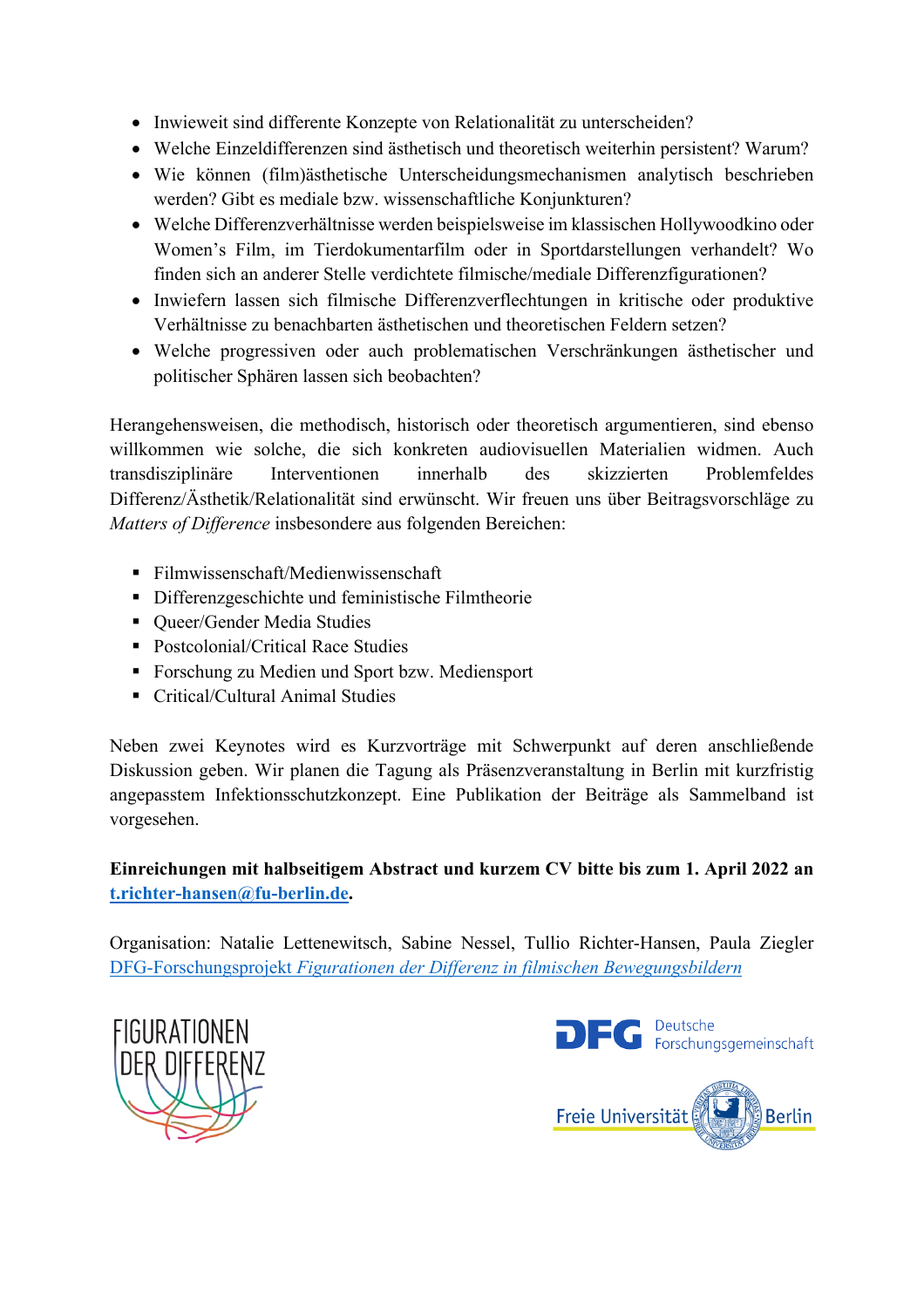- Inwieweit sind differente Konzepte von Relationalität zu unterscheiden?
- Welche Einzeldifferenzen sind ästhetisch und theoretisch weiterhin persistent? Warum?
- Wie können (film)ästhetische Unterscheidungsmechanismen analytisch beschrieben werden? Gibt es mediale bzw. wissenschaftliche Konjunkturen?
- Welche Differenzverhältnisse werden beispielsweise im klassischen Hollywoodkino oder Women's Film, im Tierdokumentarfilm oder in Sportdarstellungen verhandelt? Wo finden sich an anderer Stelle verdichtete filmische/mediale Differenzfigurationen?
- Inwiefern lassen sich filmische Differenzverflechtungen in kritische oder produktive Verhältnisse zu benachbarten ästhetischen und theoretischen Feldern setzen?
- Welche progressiven oder auch problematischen Verschränkungen ästhetischer und politischer Sphären lassen sich beobachten?

Herangehensweisen, die methodisch, historisch oder theoretisch argumentieren, sind ebenso willkommen wie solche, die sich konkreten audiovisuellen Materialien widmen. Auch transdisziplinäre Interventionen innerhalb des skizzierten Problemfeldes Differenz/Ästhetik/Relationalität sind erwünscht. Wir freuen uns über Beitragsvorschläge zu *Matters of Difference* insbesondere aus folgenden Bereichen:

- § Filmwissenschaft/Medienwissenschaft
- § Differenzgeschichte und feministische Filmtheorie
- Oueer/Gender Media Studies
- Postcolonial/Critical Race Studies
- Forschung zu Medien und Sport bzw. Mediensport
- Critical/Cultural Animal Studies

Neben zwei Keynotes wird es Kurzvorträge mit Schwerpunkt auf deren anschließende Diskussion geben. Wir planen die Tagung als Präsenzveranstaltung in Berlin mit kurzfristig angepasstem Infektionsschutzkonzept. Eine Publikation der Beiträge als Sammelband ist vorgesehen.

### **Einreichungen mit halbseitigem Abstract und kurzem CV bitte bis zum 1. April 2022 an [t.richter-hansen@fu-berlin.de.](mailto:t.richter-hansen@fu-berlin.de)**

Organisation: Natalie Lettenewitsch, Sabine Nessel, Tullio Richter-Hansen, Paula Ziegler DFG-Forschungsprojekt *[Figurationen der Differenz in filmischen Bewegungsbildern](https://www.geisteswissenschaften.fu-berlin.de/v/figurationen-der-differenz/index.html)*



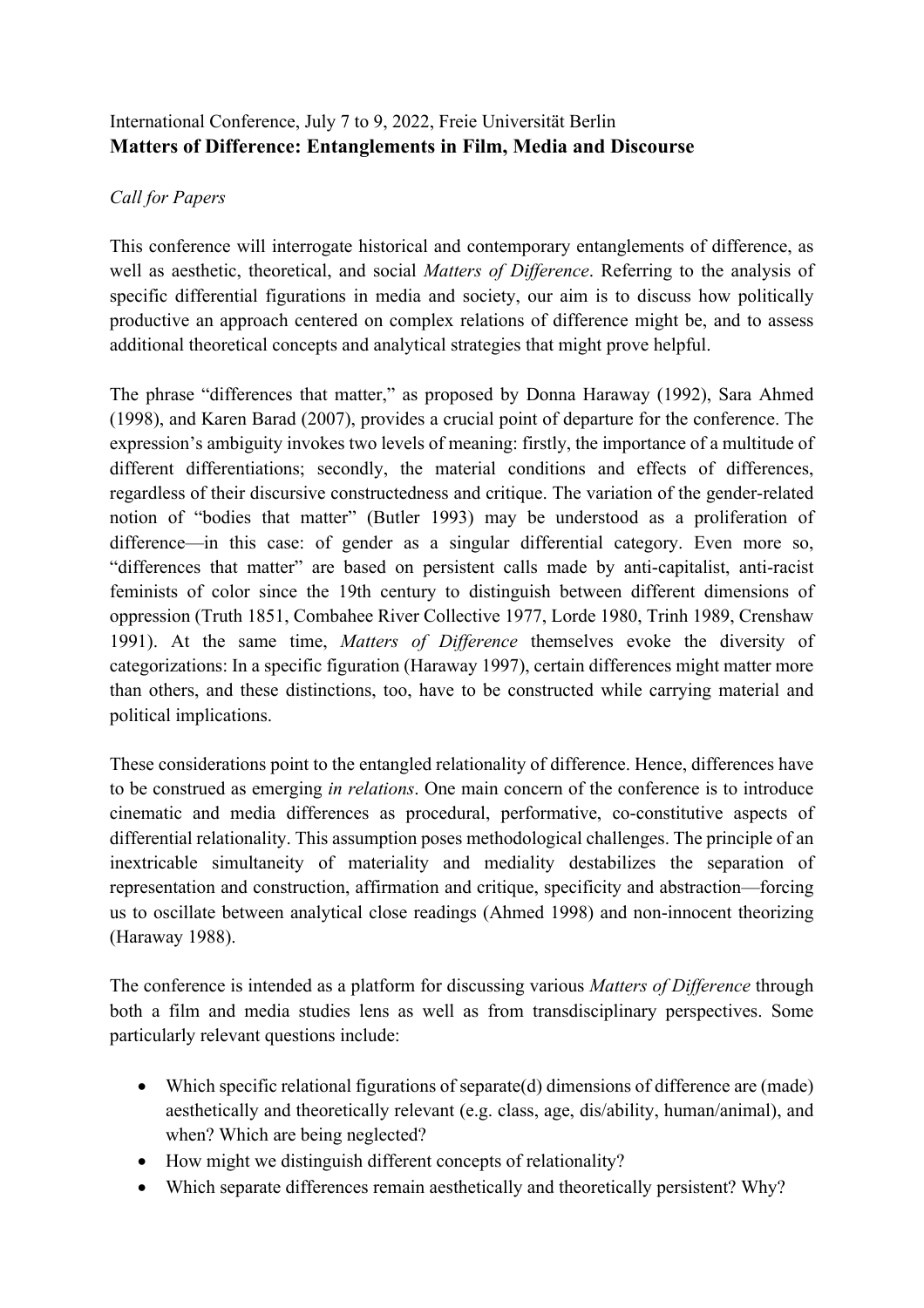# International Conference, July 7 to 9, 2022, Freie Universität Berlin **Matters of Difference: Entanglements in Film, Media and Discourse**

### *Call for Papers*

This conference will interrogate historical and contemporary entanglements of difference, as well as aesthetic, theoretical, and social *Matters of Difference*. Referring to the analysis of specific differential figurations in media and society, our aim is to discuss how politically productive an approach centered on complex relations of difference might be, and to assess additional theoretical concepts and analytical strategies that might prove helpful.

The phrase "differences that matter," as proposed by Donna Haraway (1992), Sara Ahmed (1998), and Karen Barad (2007), provides a crucial point of departure for the conference. The expression's ambiguity invokes two levels of meaning: firstly, the importance of a multitude of different differentiations; secondly, the material conditions and effects of differences, regardless of their discursive constructedness and critique. The variation of the gender-related notion of "bodies that matter" (Butler 1993) may be understood as a proliferation of difference—in this case: of gender as a singular differential category. Even more so, "differences that matter" are based on persistent calls made by anti-capitalist, anti-racist feminists of color since the 19th century to distinguish between different dimensions of oppression (Truth 1851, Combahee River Collective 1977, Lorde 1980, Trinh 1989, Crenshaw 1991). At the same time, *Matters of Difference* themselves evoke the diversity of categorizations: In a specific figuration (Haraway 1997), certain differences might matter more than others, and these distinctions, too, have to be constructed while carrying material and political implications.

These considerations point to the entangled relationality of difference. Hence, differences have to be construed as emerging *in relations*. One main concern of the conference is to introduce cinematic and media differences as procedural, performative, co-constitutive aspects of differential relationality. This assumption poses methodological challenges. The principle of an inextricable simultaneity of materiality and mediality destabilizes the separation of representation and construction, affirmation and critique, specificity and abstraction—forcing us to oscillate between analytical close readings (Ahmed 1998) and non-innocent theorizing (Haraway 1988).

The conference is intended as a platform for discussing various *Matters of Difference* through both a film and media studies lens as well as from transdisciplinary perspectives. Some particularly relevant questions include:

- Which specific relational figurations of separate(d) dimensions of difference are (made) aesthetically and theoretically relevant (e.g. class, age, dis/ability, human/animal), and when? Which are being neglected?
- How might we distinguish different concepts of relationality?
- Which separate differences remain aesthetically and theoretically persistent? Why?